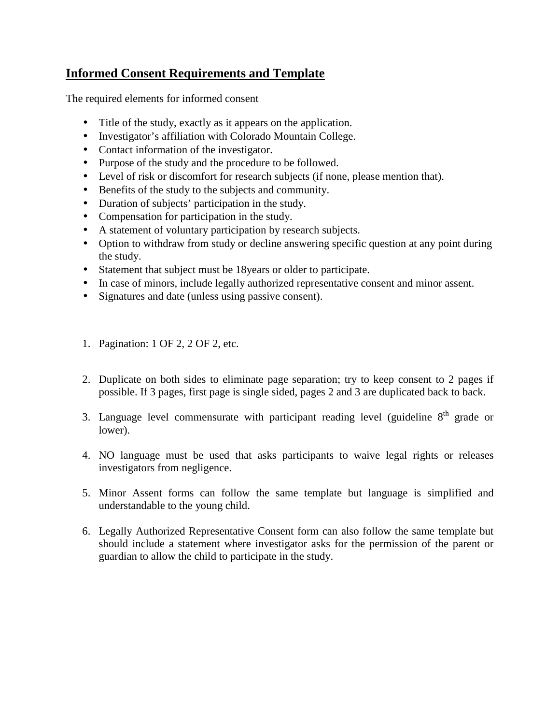# **Informed Consent Requirements and Template**

The required elements for informed consent

- Title of the study, exactly as it appears on the application.  $\mathbf{r}^{\prime}$
- Investigator's affiliation with Colorado Mountain College.  $\mathcal{L}^{\text{max}}$
- Contact information of the investigator.
- Purpose of the study and the procedure to be followed.
- Level of risk or discomfort for research subjects (if none, please mention that).  $\mathbf{L}^{\text{max}}$
- Benefits of the study to the subjects and community.  $\mathbf{r}$
- Duration of subjects' participation in the study.  $\mathcal{L}^{\mathcal{L}}$
- Compensation for participation in the study. е,
- A statement of voluntary participation by research subjects.
- Option to withdraw from study or decline answering specific question at any point during  $\mathcal{L}^{\mathcal{L}}$ the study.
- Statement that subject must be 18years or older to participate.
- In case of minors, include legally authorized representative consent and minor assent.
- Signatures and date (unless using passive consent). ä.
- 1. Pagination: 1 OF 2, 2 OF 2, etc.
- 2. Duplicate on both sides to eliminate page separation; try to keep consent to 2 pages if possible. If 3 pages, first page is single sided, pages 2 and 3 are duplicated back to back.
- 3. Language level commensurate with participant reading level (guideline  $8<sup>th</sup>$  grade or lower).
- 4. NO language must be used that asks participants to waive legal rights or releases investigators from negligence.
- 5. Minor Assent forms can follow the same template but language is simplified and understandable to the young child.
- 6. Legally Authorized Representative Consent form can also follow the same template but should include a statement where investigator asks for the permission of the parent or guardian to allow the child to participate in the study.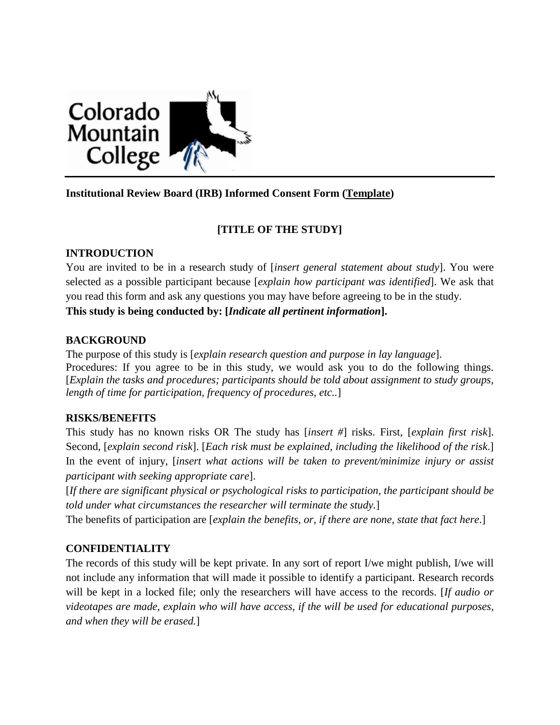

# **Institutional Review Board (IRB) Informed Consent Form (Template)**

# **[TITLE OF THE STUDY]**

## **INTRODUCTION**

You are invited to be in a research study of [*insert general statement about study*]. You were selected as a possible participant because [*explain how participant was identified*]. We ask that you read this form and ask any questions you may have before agreeing to be in the study. **This study is being conducted by: [***Indicate all pertinent information***].**

## **BACKGROUND**

The purpose of this study is [*explain research question and purpose in lay language*]. Procedures: If you agree to be in this study, we would ask you to do the following things. [*Explain the tasks and procedures; participants should be told about assignment to study groups, length of time for participation, frequency of procedures, etc..*]

#### **RISKS/BENEFITS**

This study has no known risks OR The study has [*insert #*] risks. First, [*explain first risk*]. Second, [*explain second risk*]. [*Each risk must be explained, including the likelihood of the risk*.] In the event of injury, [*insert what actions will be taken to prevent/minimize injury or assist participant with seeking appropriate care*].

[*If there are significant physical or psychological risks to participation, the participant should be told under what circumstances the researcher will terminate the study.*]

The benefits of participation are [*explain the benefits, or, if there are none, state that fact here*.]

#### **CONFIDENTIALITY**

The records of this study will be kept private. In any sort of report I/we might publish, I/we will not include any information that will made it possible to identify a participant. Research records will be kept in a locked file; only the researchers will have access to the records. [*If audio or videotapes are made, explain who will have access, if the will be used for educational purposes, and when they will be erased.*]